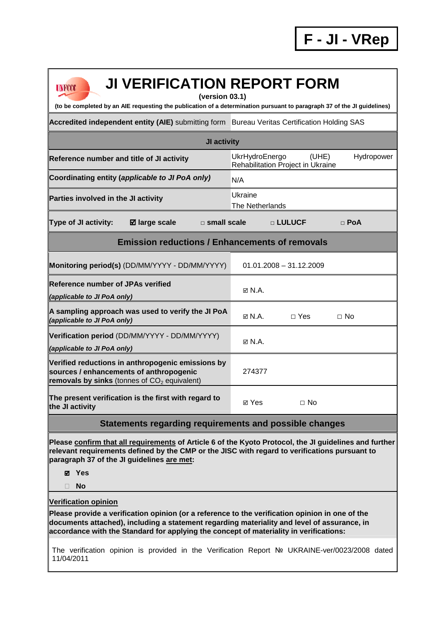| <b>JI VERIFICATION REPORT FORM</b><br><b>UNFCCC</b><br>(version 03.1)<br>(to be completed by an AIE requesting the publication of a determination pursuant to paragraph 37 of the JI guidelines)                                                                                                                        |                                                                            |  |  |  |  |
|-------------------------------------------------------------------------------------------------------------------------------------------------------------------------------------------------------------------------------------------------------------------------------------------------------------------------|----------------------------------------------------------------------------|--|--|--|--|
| Accredited independent entity (AIE) submitting form Bureau Veritas Certification Holding SAS                                                                                                                                                                                                                            |                                                                            |  |  |  |  |
|                                                                                                                                                                                                                                                                                                                         |                                                                            |  |  |  |  |
| JI activity                                                                                                                                                                                                                                                                                                             |                                                                            |  |  |  |  |
| Reference number and title of JI activity                                                                                                                                                                                                                                                                               | UkrHydroEnergo<br>Hydropower<br>(UHE)<br>Rehabilitation Project in Ukraine |  |  |  |  |
| Coordinating entity (applicable to JI PoA only)<br>N/A                                                                                                                                                                                                                                                                  |                                                                            |  |  |  |  |
| Parties involved in the JI activity                                                                                                                                                                                                                                                                                     | Ukraine<br>The Netherlands                                                 |  |  |  |  |
| <b>Type of JI activity:</b><br><b>Ø</b> large scale<br>$\square$ small scale                                                                                                                                                                                                                                            | □ LULUCF<br>$\Box$ PoA                                                     |  |  |  |  |
| <b>Emission reductions / Enhancements of removals</b>                                                                                                                                                                                                                                                                   |                                                                            |  |  |  |  |
| Monitoring period(s) (DD/MM/YYYY - DD/MM/YYYY)                                                                                                                                                                                                                                                                          | $01.01.2008 - 31.12.2009$                                                  |  |  |  |  |
| <b>Reference number of JPAs verified</b><br>(applicable to JI PoA only)                                                                                                                                                                                                                                                 | $\boxtimes$ N.A.                                                           |  |  |  |  |
| A sampling approach was used to verify the JI PoA<br>(applicable to JI PoA only)                                                                                                                                                                                                                                        | $\boxtimes$ N.A.<br>$\Box$ Yes<br>$\Box$ No                                |  |  |  |  |
| Verification period (DD/MM/YYYY - DD/MM/YYYY)<br>(applicable to JI PoA only)                                                                                                                                                                                                                                            | $\boxtimes$ N.A.                                                           |  |  |  |  |
| Verified reductions in anthropogenic emissions by<br>sources / enhancements of anthropogenic<br>removals by sinks (tonnes of $CO2$ equivalent)                                                                                                                                                                          | 274377                                                                     |  |  |  |  |
| The present verification is the first with regard to<br>the JI activity                                                                                                                                                                                                                                                 | ⊠ Yes<br>$\Box$ No                                                         |  |  |  |  |
| Statements regarding requirements and possible changes                                                                                                                                                                                                                                                                  |                                                                            |  |  |  |  |
| Please confirm that all requirements of Article 6 of the Kyoto Protocol, the JI guidelines and further<br>relevant requirements defined by the CMP or the JISC with regard to verifications pursuant to<br>paragraph 37 of the JI guidelines are met:<br><b>Ø</b> Yes<br><b>No</b><br>П                                 |                                                                            |  |  |  |  |
| <b>Verification opinion</b><br>Please provide a verification opinion (or a reference to the verification opinion in one of the<br>documents attached), including a statement regarding materiality and level of assurance, in<br>accordance with the Standard for applying the concept of materiality in verifications: |                                                                            |  |  |  |  |

The verification opinion is provided in the Verification Report № UKRAINE-ver/0023/2008 dated 11/04/2011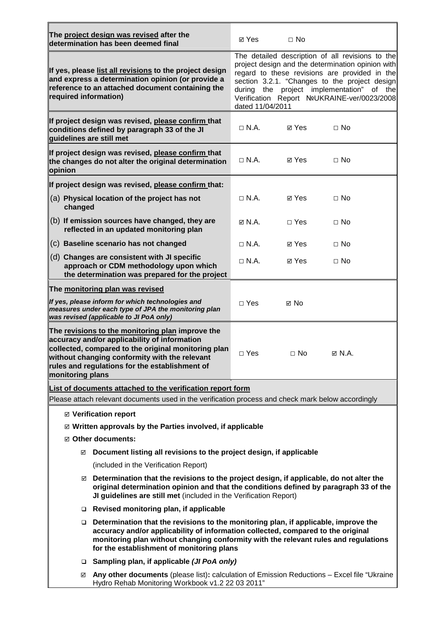|                                                                                                                                                                                                                                                                                                                       | The project design was revised after the<br>determination has been deemed final                                                                                                                                                                            | ⊠ Yes                                                                                                                                                                                                                                                                                                                   | $\Box$ No  |                  |  |
|-----------------------------------------------------------------------------------------------------------------------------------------------------------------------------------------------------------------------------------------------------------------------------------------------------------------------|------------------------------------------------------------------------------------------------------------------------------------------------------------------------------------------------------------------------------------------------------------|-------------------------------------------------------------------------------------------------------------------------------------------------------------------------------------------------------------------------------------------------------------------------------------------------------------------------|------------|------------------|--|
| If yes, please list all revisions to the project design<br>and express a determination opinion (or provide a<br>reference to an attached document containing the<br>required information)                                                                                                                             |                                                                                                                                                                                                                                                            | The detailed description of all revisions to the<br>project design and the determination opinion with<br>regard to these revisions are provided in the<br>section 3.2.1. "Changes to the project design<br>during the project implementation" of the<br>Verification Report NoUKRAINE-ver/0023/2008<br>dated 11/04/2011 |            |                  |  |
|                                                                                                                                                                                                                                                                                                                       | If project design was revised, please confirm that<br>conditions defined by paragraph 33 of the JI<br>guidelines are still met                                                                                                                             | $\Box$ N.A.                                                                                                                                                                                                                                                                                                             | ⊠ Yes      | $\Box$ No        |  |
| opinion                                                                                                                                                                                                                                                                                                               | If project design was revised, please confirm that<br>the changes do not alter the original determination                                                                                                                                                  | $\Box$ N.A.                                                                                                                                                                                                                                                                                                             | ⊠ Yes      | $\Box$ No        |  |
|                                                                                                                                                                                                                                                                                                                       | If project design was revised, please confirm that:                                                                                                                                                                                                        |                                                                                                                                                                                                                                                                                                                         |            |                  |  |
| changed                                                                                                                                                                                                                                                                                                               | (a) Physical location of the project has not                                                                                                                                                                                                               | $\Box$ N.A.                                                                                                                                                                                                                                                                                                             | ⊠ Yes      | $\Box$ No        |  |
|                                                                                                                                                                                                                                                                                                                       | (b) If emission sources have changed, they are<br>reflected in an updated monitoring plan                                                                                                                                                                  | $\boxtimes$ N.A.                                                                                                                                                                                                                                                                                                        | $\Box$ Yes | $\Box$ No        |  |
|                                                                                                                                                                                                                                                                                                                       | (c) Baseline scenario has not changed                                                                                                                                                                                                                      | $\Box$ N.A.                                                                                                                                                                                                                                                                                                             | ⊠ Yes      | $\Box$ No        |  |
|                                                                                                                                                                                                                                                                                                                       | (d) Changes are consistent with JI specific<br>approach or CDM methodology upon which<br>the determination was prepared for the project                                                                                                                    | $\Box$ N.A.                                                                                                                                                                                                                                                                                                             | ⊠ Yes      | $\Box$ No        |  |
|                                                                                                                                                                                                                                                                                                                       | The monitoring plan was revised                                                                                                                                                                                                                            |                                                                                                                                                                                                                                                                                                                         |            |                  |  |
| If yes, please inform for which technologies and<br>measures under each type of JPA the monitoring plan<br>was revised (applicable to JI PoA only)                                                                                                                                                                    |                                                                                                                                                                                                                                                            | $\Box$ Yes                                                                                                                                                                                                                                                                                                              | ⊠ No       |                  |  |
| The revisions to the monitoring plan improve the<br>accuracy and/or applicability of information<br>collected, compared to the original monitoring plan<br>without changing conformity with the relevant<br>rules and regulations for the establishment of<br>monitoring plans                                        |                                                                                                                                                                                                                                                            | $\Box$ Yes                                                                                                                                                                                                                                                                                                              | $\Box$ No  | $\boxtimes$ N.A. |  |
| List of documents attached to the verification report form                                                                                                                                                                                                                                                            |                                                                                                                                                                                                                                                            |                                                                                                                                                                                                                                                                                                                         |            |                  |  |
| Please attach relevant documents used in the verification process and check mark below accordingly                                                                                                                                                                                                                    |                                                                                                                                                                                                                                                            |                                                                                                                                                                                                                                                                                                                         |            |                  |  |
| ☑ Verification report                                                                                                                                                                                                                                                                                                 |                                                                                                                                                                                                                                                            |                                                                                                                                                                                                                                                                                                                         |            |                  |  |
| $\boxtimes$ Written approvals by the Parties involved, if applicable                                                                                                                                                                                                                                                  |                                                                                                                                                                                                                                                            |                                                                                                                                                                                                                                                                                                                         |            |                  |  |
| ☑ Other documents:                                                                                                                                                                                                                                                                                                    |                                                                                                                                                                                                                                                            |                                                                                                                                                                                                                                                                                                                         |            |                  |  |
|                                                                                                                                                                                                                                                                                                                       | Document listing all revisions to the project design, if applicable<br>☑                                                                                                                                                                                   |                                                                                                                                                                                                                                                                                                                         |            |                  |  |
|                                                                                                                                                                                                                                                                                                                       | (included in the Verification Report)                                                                                                                                                                                                                      |                                                                                                                                                                                                                                                                                                                         |            |                  |  |
|                                                                                                                                                                                                                                                                                                                       | Determination that the revisions to the project design, if applicable, do not alter the<br>☑<br>original determination opinion and that the conditions defined by paragraph 33 of the<br>JI guidelines are still met (included in the Verification Report) |                                                                                                                                                                                                                                                                                                                         |            |                  |  |
|                                                                                                                                                                                                                                                                                                                       | Revised monitoring plan, if applicable                                                                                                                                                                                                                     |                                                                                                                                                                                                                                                                                                                         |            |                  |  |
| Determination that the revisions to the monitoring plan, if applicable, improve the<br>$\Box$<br>accuracy and/or applicability of information collected, compared to the original<br>monitoring plan without changing conformity with the relevant rules and regulations<br>for the establishment of monitoring plans |                                                                                                                                                                                                                                                            |                                                                                                                                                                                                                                                                                                                         |            |                  |  |
| □ Sampling plan, if applicable ( <i>JI PoA only</i> )                                                                                                                                                                                                                                                                 |                                                                                                                                                                                                                                                            |                                                                                                                                                                                                                                                                                                                         |            |                  |  |
| Any other documents (please list): calculation of Emission Reductions - Excel file "Ukraine<br>☑<br>Hydro Rehab Monitoring Workbook v1.2 22 03 2011"                                                                                                                                                                  |                                                                                                                                                                                                                                                            |                                                                                                                                                                                                                                                                                                                         |            |                  |  |